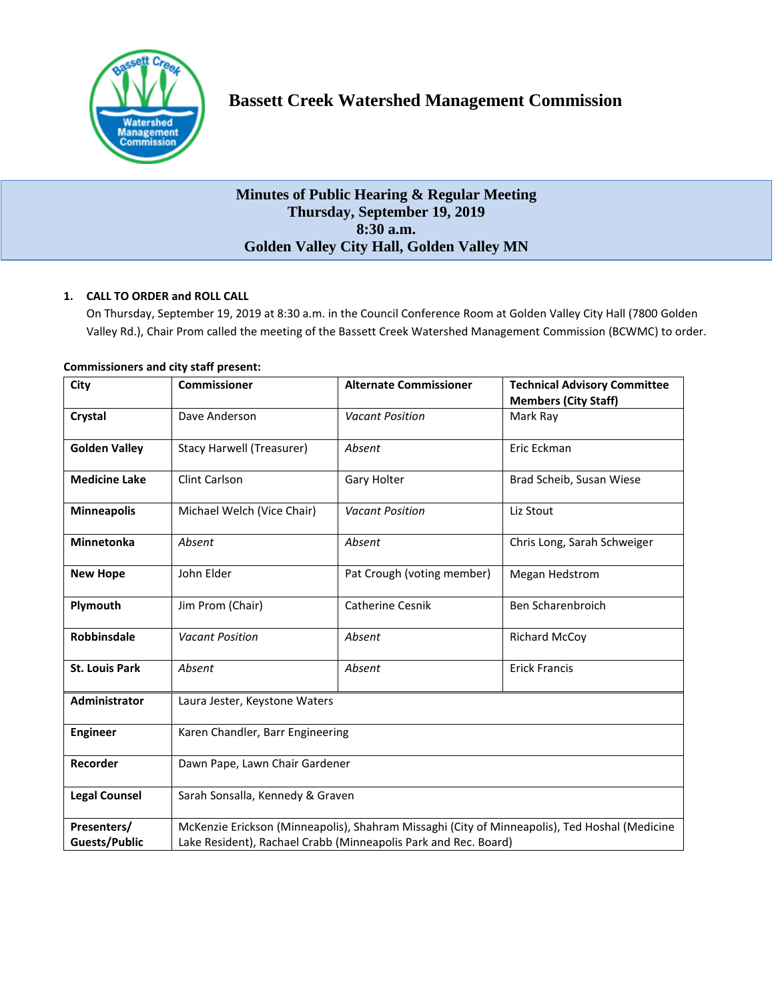

# **Minutes of Public Hearing & Regular Meeting Thursday, September 19, 2019 8:30 a.m. Golden Valley City Hall, Golden Valley MN**

# **1. CALL TO ORDER and ROLL CALL**

On Thursday, September 19, 2019 at 8:30 a.m. in the Council Conference Room at Golden Valley City Hall (7800 Golden Valley Rd.), Chair Prom called the meeting of the Bassett Creek Watershed Management Commission (BCWMC) to order.

|                                  |                            | <b>Technical Advisory Committee</b><br><b>Members (City Staff)</b>                                                                                                                                   |
|----------------------------------|----------------------------|------------------------------------------------------------------------------------------------------------------------------------------------------------------------------------------------------|
| Dave Anderson                    | <b>Vacant Position</b>     | Mark Ray                                                                                                                                                                                             |
| <b>Stacy Harwell (Treasurer)</b> | Absent                     | Eric Eckman                                                                                                                                                                                          |
| <b>Clint Carlson</b>             | Gary Holter                | Brad Scheib, Susan Wiese                                                                                                                                                                             |
| Michael Welch (Vice Chair)       | <b>Vacant Position</b>     | Liz Stout                                                                                                                                                                                            |
| Absent                           | Absent                     | Chris Long, Sarah Schweiger                                                                                                                                                                          |
| John Elder                       | Pat Crough (voting member) | Megan Hedstrom                                                                                                                                                                                       |
| Jim Prom (Chair)                 | <b>Catherine Cesnik</b>    | Ben Scharenbroich                                                                                                                                                                                    |
| <b>Vacant Position</b>           | Absent                     | <b>Richard McCoy</b>                                                                                                                                                                                 |
| Absent                           | Absent                     | <b>Erick Francis</b>                                                                                                                                                                                 |
| Laura Jester, Keystone Waters    |                            |                                                                                                                                                                                                      |
| Karen Chandler, Barr Engineering |                            |                                                                                                                                                                                                      |
| Dawn Pape, Lawn Chair Gardener   |                            |                                                                                                                                                                                                      |
|                                  |                            |                                                                                                                                                                                                      |
|                                  |                            |                                                                                                                                                                                                      |
|                                  |                            | Sarah Sonsalla, Kennedy & Graven<br>McKenzie Erickson (Minneapolis), Shahram Missaghi (City of Minneapolis), Ted Hoshal (Medicine<br>Lake Resident), Rachael Crabb (Minneapolis Park and Rec. Board) |

# **Commissioners and city staff present:**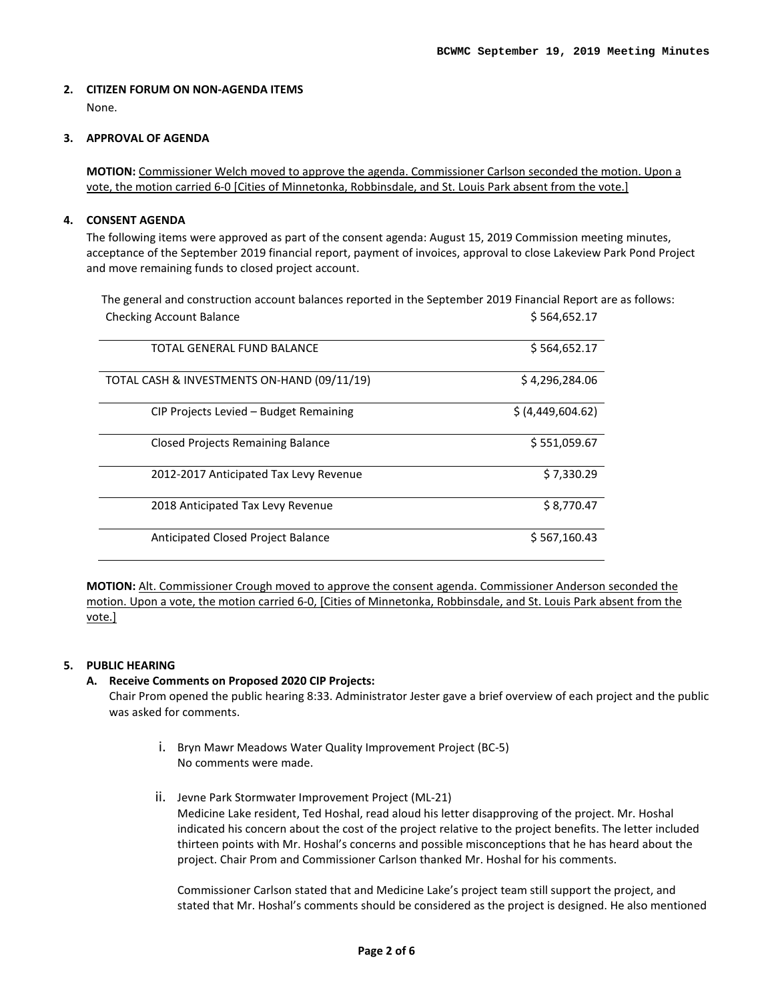# **2. CITIZEN FORUM ON NON-AGENDA ITEMS**

None.

#### **3. APPROVAL OF AGENDA**

**MOTION:** Commissioner Welch moved to approve the agenda. Commissioner Carlson seconded the motion. Upon a vote, the motion carried 6-0 [Cities of Minnetonka, Robbinsdale, and St. Louis Park absent from the vote.]

# **4. CONSENT AGENDA**

The following items were approved as part of the consent agenda: August 15, 2019 Commission meeting minutes, acceptance of the September 2019 financial report, payment of invoices, approval to close Lakeview Park Pond Project and move remaining funds to closed project account.

The general and construction account balances reported in the September 2019 Financial Report are as follows: Checking Account Balance **\$ 564,652.17** 

| TOTAL GENERAL FUND BALANCE                  | \$564,652.17      |
|---------------------------------------------|-------------------|
| TOTAL CASH & INVESTMENTS ON-HAND (09/11/19) | \$4,296,284.06    |
| CIP Projects Levied - Budget Remaining      | \$ (4,449,604.62) |
| <b>Closed Projects Remaining Balance</b>    | \$551,059.67      |
| 2012-2017 Anticipated Tax Levy Revenue      | \$7,330.29        |
| 2018 Anticipated Tax Levy Revenue           | \$8,770.47        |
| Anticipated Closed Project Balance          | \$567,160.43      |

**MOTION:** Alt. Commissioner Crough moved to approve the consent agenda. Commissioner Anderson seconded the motion. Upon a vote, the motion carried 6-0, [Cities of Minnetonka, Robbinsdale, and St. Louis Park absent from the vote.]

# **5. PUBLIC HEARING**

# **A. Receive Comments on Proposed 2020 CIP Projects:**

Chair Prom opened the public hearing 8:33. Administrator Jester gave a brief overview of each project and the public was asked for comments.

- i. Bryn Mawr Meadows Water Quality Improvement Project (BC-5) No comments were made.
- ii. Jevne Park Stormwater Improvement Project (ML-21) Medicine Lake resident, Ted Hoshal, read aloud his letter disapproving of the project. Mr. Hoshal indicated his concern about the cost of the project relative to the project benefits. The letter included thirteen points with Mr. Hoshal's concerns and possible misconceptions that he has heard about the project. Chair Prom and Commissioner Carlson thanked Mr. Hoshal for his comments.

Commissioner Carlson stated that and Medicine Lake's project team still support the project, and stated that Mr. Hoshal's comments should be considered as the project is designed. He also mentioned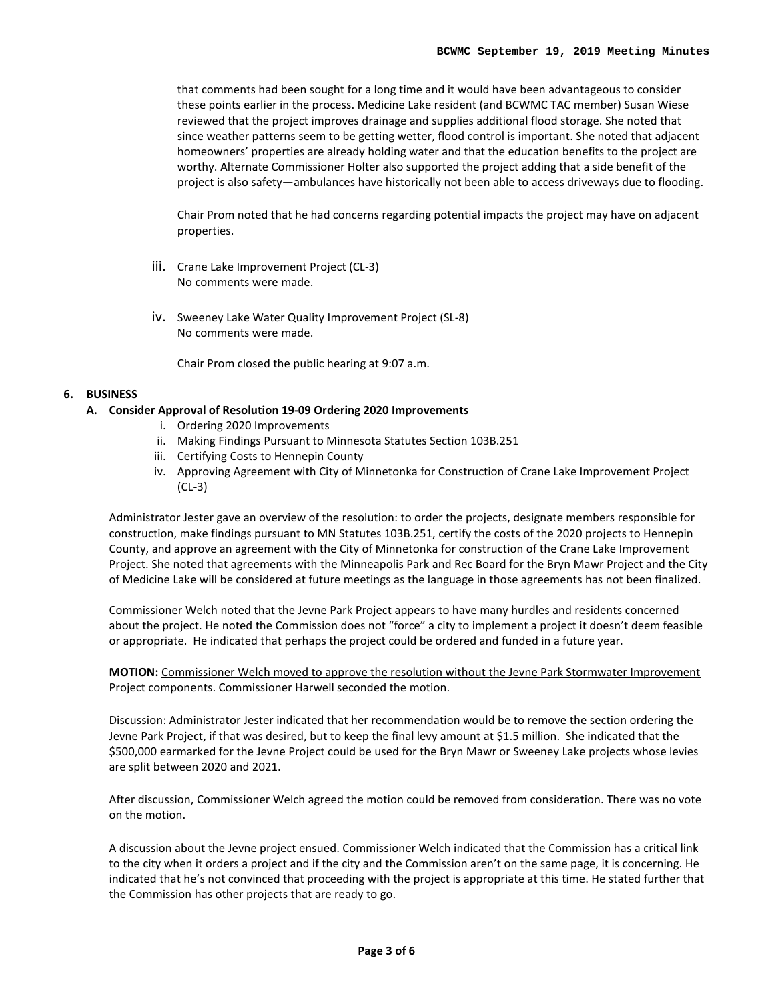that comments had been sought for a long time and it would have been advantageous to consider these points earlier in the process. Medicine Lake resident (and BCWMC TAC member) Susan Wiese reviewed that the project improves drainage and supplies additional flood storage. She noted that since weather patterns seem to be getting wetter, flood control is important. She noted that adjacent homeowners' properties are already holding water and that the education benefits to the project are worthy. Alternate Commissioner Holter also supported the project adding that a side benefit of the project is also safety—ambulances have historically not been able to access driveways due to flooding.

Chair Prom noted that he had concerns regarding potential impacts the project may have on adjacent properties.

- iii. Crane Lake Improvement Project (CL-3) No comments were made.
- iv. Sweeney Lake Water Quality Improvement Project (SL-8) No comments were made.

Chair Prom closed the public hearing at 9:07 a.m.

# **6. BUSINESS**

#### **A. Consider Approval of Resolution 19-09 Ordering 2020 Improvements**

- i. Ordering 2020 Improvements
- ii. Making Findings Pursuant to Minnesota Statutes Section 103B.251
- iii. Certifying Costs to Hennepin County
- iv. Approving Agreement with City of Minnetonka for Construction of Crane Lake Improvement Project (CL-3)

Administrator Jester gave an overview of the resolution: to order the projects, designate members responsible for construction, make findings pursuant to MN Statutes 103B.251, certify the costs of the 2020 projects to Hennepin County, and approve an agreement with the City of Minnetonka for construction of the Crane Lake Improvement Project. She noted that agreements with the Minneapolis Park and Rec Board for the Bryn Mawr Project and the City of Medicine Lake will be considered at future meetings as the language in those agreements has not been finalized.

Commissioner Welch noted that the Jevne Park Project appears to have many hurdles and residents concerned about the project. He noted the Commission does not "force" a city to implement a project it doesn't deem feasible or appropriate. He indicated that perhaps the project could be ordered and funded in a future year.

**MOTION:** Commissioner Welch moved to approve the resolution without the Jevne Park Stormwater Improvement Project components. Commissioner Harwell seconded the motion.

Discussion: Administrator Jester indicated that her recommendation would be to remove the section ordering the Jevne Park Project, if that was desired, but to keep the final levy amount at \$1.5 million. She indicated that the \$500,000 earmarked for the Jevne Project could be used for the Bryn Mawr or Sweeney Lake projects whose levies are split between 2020 and 2021.

After discussion, Commissioner Welch agreed the motion could be removed from consideration. There was no vote on the motion.

A discussion about the Jevne project ensued. Commissioner Welch indicated that the Commission has a critical link to the city when it orders a project and if the city and the Commission aren't on the same page, it is concerning. He indicated that he's not convinced that proceeding with the project is appropriate at this time. He stated further that the Commission has other projects that are ready to go.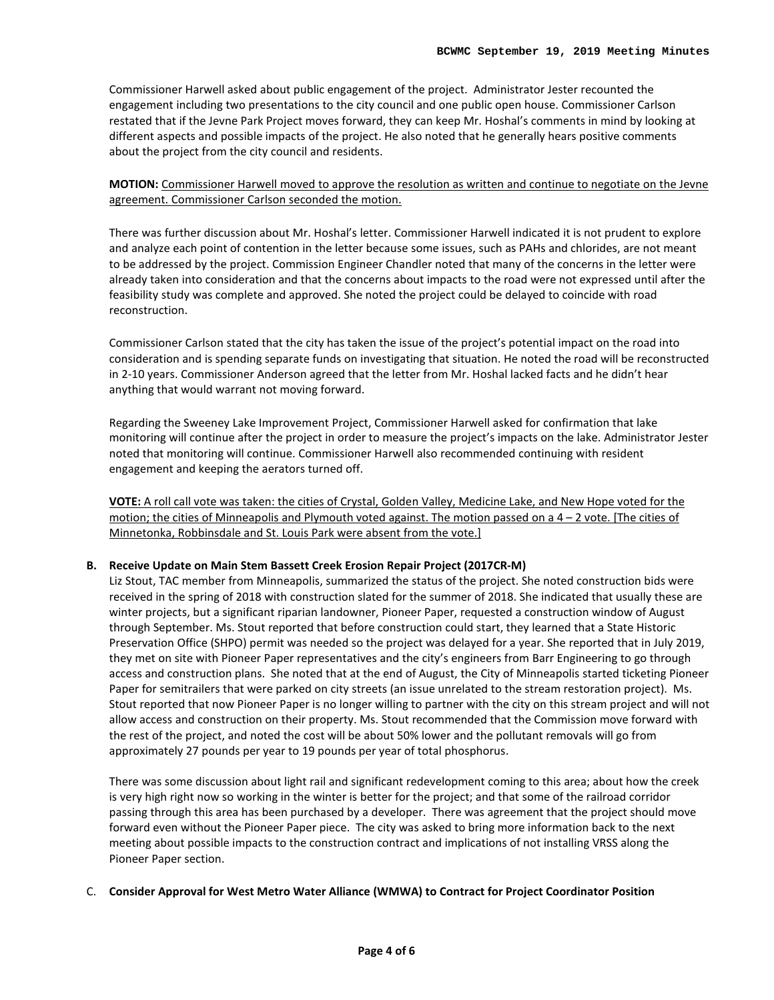Commissioner Harwell asked about public engagement of the project. Administrator Jester recounted the engagement including two presentations to the city council and one public open house. Commissioner Carlson restated that if the Jevne Park Project moves forward, they can keep Mr. Hoshal's comments in mind by looking at different aspects and possible impacts of the project. He also noted that he generally hears positive comments about the project from the city council and residents.

**MOTION:** Commissioner Harwell moved to approve the resolution as written and continue to negotiate on the Jevne agreement. Commissioner Carlson seconded the motion.

There was further discussion about Mr. Hoshal's letter. Commissioner Harwell indicated it is not prudent to explore and analyze each point of contention in the letter because some issues, such as PAHs and chlorides, are not meant to be addressed by the project. Commission Engineer Chandler noted that many of the concerns in the letter were already taken into consideration and that the concerns about impacts to the road were not expressed until after the feasibility study was complete and approved. She noted the project could be delayed to coincide with road reconstruction.

Commissioner Carlson stated that the city has taken the issue of the project's potential impact on the road into consideration and is spending separate funds on investigating that situation. He noted the road will be reconstructed in 2-10 years. Commissioner Anderson agreed that the letter from Mr. Hoshal lacked facts and he didn't hear anything that would warrant not moving forward.

Regarding the Sweeney Lake Improvement Project, Commissioner Harwell asked for confirmation that lake monitoring will continue after the project in order to measure the project's impacts on the lake. Administrator Jester noted that monitoring will continue. Commissioner Harwell also recommended continuing with resident engagement and keeping the aerators turned off.

**VOTE:** A roll call vote was taken: the cities of Crystal, Golden Valley, Medicine Lake, and New Hope voted for the motion; the cities of Minneapolis and Plymouth voted against. The motion passed on a 4 – 2 vote. [The cities of Minnetonka, Robbinsdale and St. Louis Park were absent from the vote.]

# **B. Receive Update on Main Stem Bassett Creek Erosion Repair Project (2017CR-M)**

Liz Stout, TAC member from Minneapolis, summarized the status of the project. She noted construction bids were received in the spring of 2018 with construction slated for the summer of 2018. She indicated that usually these are winter projects, but a significant riparian landowner, Pioneer Paper, requested a construction window of August through September. Ms. Stout reported that before construction could start, they learned that a State Historic Preservation Office (SHPO) permit was needed so the project was delayed for a year. She reported that in July 2019, they met on site with Pioneer Paper representatives and the city's engineers from Barr Engineering to go through access and construction plans. She noted that at the end of August, the City of Minneapolis started ticketing Pioneer Paper for semitrailers that were parked on city streets (an issue unrelated to the stream restoration project). Ms. Stout reported that now Pioneer Paper is no longer willing to partner with the city on this stream project and will not allow access and construction on their property. Ms. Stout recommended that the Commission move forward with the rest of the project, and noted the cost will be about 50% lower and the pollutant removals will go from approximately 27 pounds per year to 19 pounds per year of total phosphorus.

There was some discussion about light rail and significant redevelopment coming to this area; about how the creek is very high right now so working in the winter is better for the project; and that some of the railroad corridor passing through this area has been purchased by a developer. There was agreement that the project should move forward even without the Pioneer Paper piece. The city was asked to bring more information back to the next meeting about possible impacts to the construction contract and implications of not installing VRSS along the Pioneer Paper section.

#### C. **Consider Approval for West Metro Water Alliance (WMWA) to Contract for Project Coordinator Position**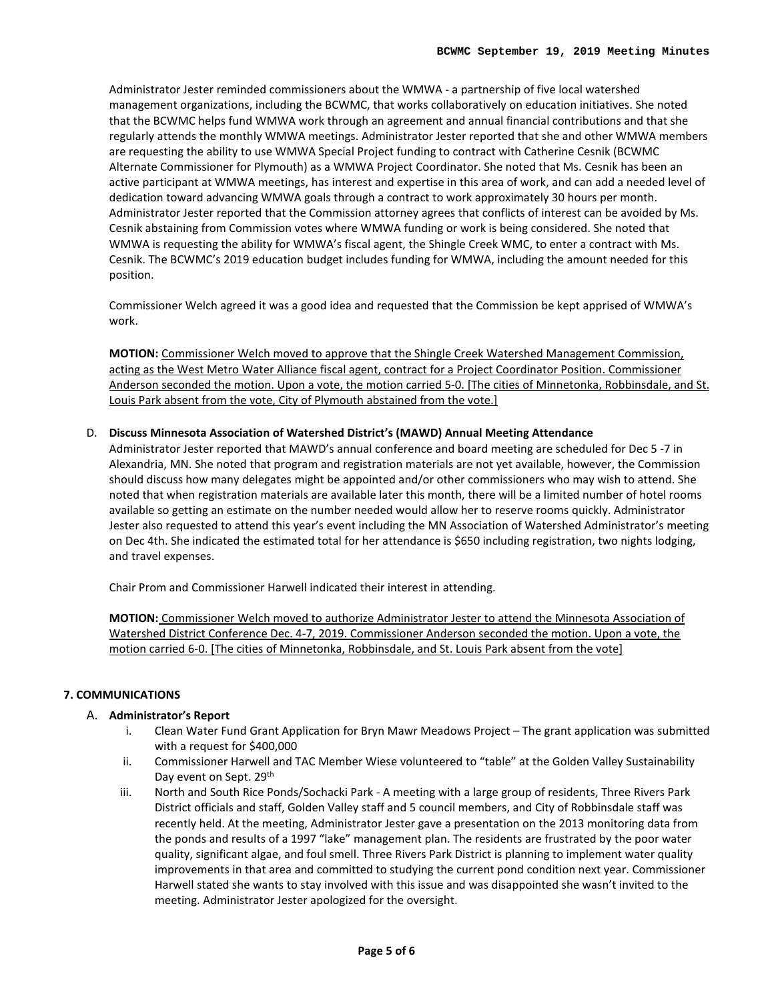Administrator Jester reminded commissioners about the WMWA - a partnership of five local watershed management organizations, including the BCWMC, that works collaboratively on education initiatives. She noted that the BCWMC helps fund WMWA work through an agreement and annual financial contributions and that she regularly attends the monthly WMWA meetings. Administrator Jester reported that she and other WMWA members are requesting the ability to use WMWA Special Project funding to contract with Catherine Cesnik (BCWMC Alternate Commissioner for Plymouth) as a WMWA Project Coordinator. She noted that Ms. Cesnik has been an active participant at WMWA meetings, has interest and expertise in this area of work, and can add a needed level of dedication toward advancing WMWA goals through a contract to work approximately 30 hours per month. Administrator Jester reported that the Commission attorney agrees that conflicts of interest can be avoided by Ms. Cesnik abstaining from Commission votes where WMWA funding or work is being considered. She noted that WMWA is requesting the ability for WMWA's fiscal agent, the Shingle Creek WMC, to enter a contract with Ms. Cesnik. The BCWMC's 2019 education budget includes funding for WMWA, including the amount needed for this position.

Commissioner Welch agreed it was a good idea and requested that the Commission be kept apprised of WMWA's work.

**MOTION:** Commissioner Welch moved to approve that the Shingle Creek Watershed Management Commission, acting as the West Metro Water Alliance fiscal agent, contract for a Project Coordinator Position. Commissioner Anderson seconded the motion. Upon a vote, the motion carried 5-0. [The cities of Minnetonka, Robbinsdale, and St. Louis Park absent from the vote, City of Plymouth abstained from the vote.]

# D. **Discuss Minnesota Association of Watershed District's (MAWD) Annual Meeting Attendance**

Administrator Jester reported that MAWD's annual conference and board meeting are scheduled for Dec 5 -7 in Alexandria, MN. She noted that program and registration materials are not yet available, however, the Commission should discuss how many delegates might be appointed and/or other commissioners who may wish to attend. She noted that when registration materials are available later this month, there will be a limited number of hotel rooms available so getting an estimate on the number needed would allow her to reserve rooms quickly. Administrator Jester also requested to attend this year's event including the MN Association of Watershed Administrator's meeting on Dec 4th. She indicated the estimated total for her attendance is \$650 including registration, two nights lodging, and travel expenses.

Chair Prom and Commissioner Harwell indicated their interest in attending.

**MOTION:** Commissioner Welch moved to authorize Administrator Jester to attend the Minnesota Association of Watershed District Conference Dec. 4-7, 2019. Commissioner Anderson seconded the motion. Upon a vote, the motion carried 6-0. [The cities of Minnetonka, Robbinsdale, and St. Louis Park absent from the vote]

# **7. COMMUNICATIONS**

# A. **Administrator's Report**

- i. Clean Water Fund Grant Application for Bryn Mawr Meadows Project The grant application was submitted with a request for \$400,000
- ii. Commissioner Harwell and TAC Member Wiese volunteered to "table" at the Golden Valley Sustainability Day event on Sept. 29<sup>th</sup>
- iii. North and South Rice Ponds/Sochacki Park A meeting with a large group of residents, Three Rivers Park District officials and staff, Golden Valley staff and 5 council members, and City of Robbinsdale staff was recently held. At the meeting, Administrator Jester gave a presentation on the 2013 monitoring data from the ponds and results of a 1997 "lake" management plan. The residents are frustrated by the poor water quality, significant algae, and foul smell. Three Rivers Park District is planning to implement water quality improvements in that area and committed to studying the current pond condition next year. Commissioner Harwell stated she wants to stay involved with this issue and was disappointed she wasn't invited to the meeting. Administrator Jester apologized for the oversight.